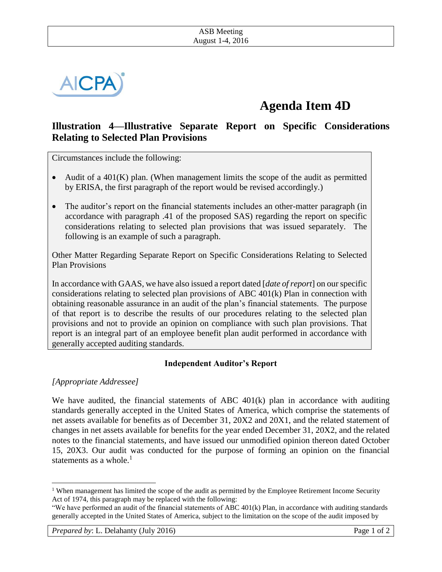

# **Agenda Item 4D**

## **Illustration 4—Illustrative Separate Report on Specific Considerations Relating to Selected Plan Provisions**

Circumstances include the following:

- Audit of a  $401(K)$  plan. (When management limits the scope of the audit as permitted by ERISA, the first paragraph of the report would be revised accordingly.)
- The auditor's report on the financial statements includes an other-matter paragraph (in accordance with paragraph .41 of the proposed SAS) regarding the report on specific considerations relating to selected plan provisions that was issued separately. The following is an example of such a paragraph.

Other Matter Regarding Separate Report on Specific Considerations Relating to Selected Plan Provisions

In accordance with GAAS, we have also issued a report dated [*date of report*] on our specific considerations relating to selected plan provisions of ABC 401(k) Plan in connection with obtaining reasonable assurance in an audit of the plan's financial statements. The purpose of that report is to describe the results of our procedures relating to the selected plan provisions and not to provide an opinion on compliance with such plan provisions. That report is an integral part of an employee benefit plan audit performed in accordance with generally accepted auditing standards.

### **Independent Auditor's Report**

*[Appropriate Addressee]*

 $\overline{\phantom{a}}$ 

We have audited, the financial statements of ABC  $401(k)$  plan in accordance with auditing standards generally accepted in the United States of America, which comprise the statements of net assets available for benefits as of December 31, 20X2 and 20X1, and the related statement of changes in net assets available for benefits for the year ended December 31, 20X2, and the related notes to the financial statements, and have issued our unmodified opinion thereon dated October 15, 20X3. Our audit was conducted for the purpose of forming an opinion on the financial statements as a whole. $<sup>1</sup>$ </sup>

<sup>&</sup>lt;sup>1</sup> When management has limited the scope of the audit as permitted by the Employee Retirement Income Security Act of 1974, this paragraph may be replaced with the following:

<sup>&</sup>quot;We have performed an audit of the financial statements of ABC 401(k) Plan, in accordance with auditing standards generally accepted in the United States of America, subject to the limitation on the scope of the audit imposed by